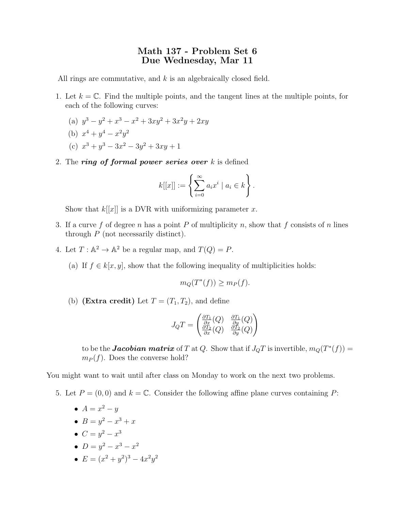## Math 137 - Problem Set 6 Due Wednesday, Mar 11

All rings are commutative, and  $k$  is an algebraically closed field.

- 1. Let  $k = \mathbb{C}$ . Find the multiple points, and the tangent lines at the multiple points, for each of the following curves:
	- (a)  $y^3 y^2 + x^3 x^2 + 3xy^2 + 3x^2y + 2xy$
	- (b)  $x^4 + y^4 x^2y^2$
	- (c)  $x^3 + y^3 3x^2 3y^2 + 3xy + 1$
- 2. The ring of formal power series over  $k$  is defined

$$
k[[x]] := \left\{ \sum_{i=0}^{\infty} a_i x^i \mid a_i \in k \right\}.
$$

Show that  $k[[x]]$  is a DVR with uniformizing parameter x.

- 3. If a curve f of degree n has a point P of multiplicity n, show that f consists of n lines through  $P$  (not necessarily distinct).
- 4. Let  $T : \mathbb{A}^2 \to \mathbb{A}^2$  be a regular map, and  $T(Q) = P$ .
	- (a) If  $f \in k[x, y]$ , show that the following inequality of multiplicities holds:

$$
m_Q(T^*(f)) \ge m_P(f).
$$

(b) (Extra credit) Let  $T=(T_1,T_2)$ , and define

$$
J_QT = \begin{pmatrix} \frac{\partial T_1}{\partial x}(Q) & \frac{\partial T_1}{\partial y}(Q) \\ \frac{\partial T_2}{\partial x}(Q) & \frac{\partial T_2}{\partial y}(Q) \end{pmatrix}
$$

to be the **Jacobian matrix** of T at Q. Show that if  $J_QT$  is invertible,  $m_Q(T^*(f)) =$  $m_P(f)$ . Does the converse hold?

You might want to wait until after class on Monday to work on the next two problems.

- 5. Let  $P = (0,0)$  and  $k = \mathbb{C}$ . Consider the following affine plane curves containing P:
	- $A = x^2 y$
	- $B = y^2 x^3 + x$
	- $C = y^2 x^3$
	- $D = y^2 x^3 x^2$
	- $E = (x^2 + y^2)^3 4x^2y^2$